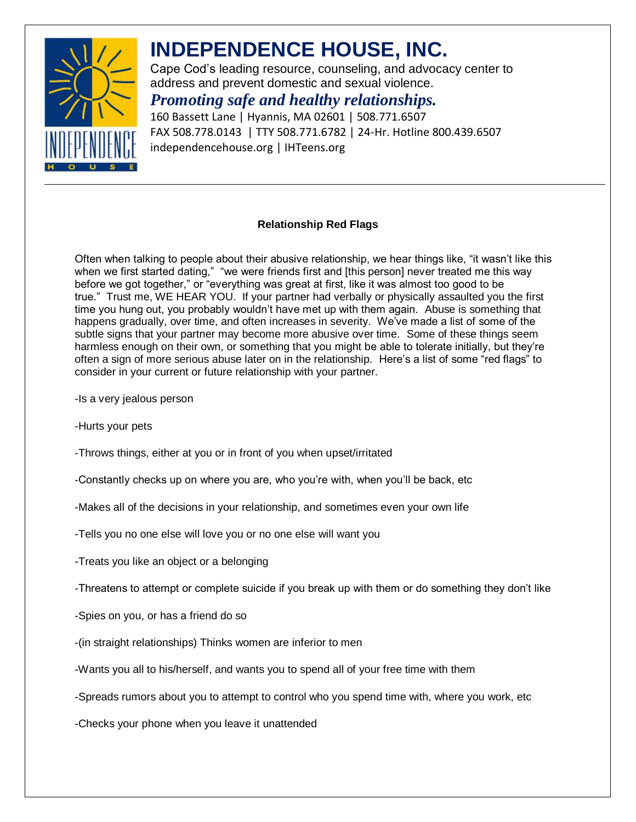

# **INDEPENDENCE HOUSE, INC.**

Cape Cod's leading resource, counseling, and advocacy center to address and prevent domestic and sexual violence.

### *Promoting safe and healthy relationships.*

160 Bassett Lane | Hyannis, MA 02601 | 508.771.6507 FAX 508.778.0143 | TTY 508.771.6782 | 24-Hr. Hotline 800.439.6507 independencehouse.org | IHTeens.org

#### **Relationship Red Flags**

Often when talking to people about their abusive relationship, we hear things like, "it wasn't like this when we first started dating," "we were friends first and [this person] never treated me this way before we got together," or "everything was great at first, like it was almost too good to be true." Trust me, WE HEAR YOU. If your partner had verbally or physically assaulted you the first time you hung out, you probably wouldn't have met up with them again. Abuse is something that happens gradually, over time, and often increases in severity. We've made a list of some of the subtle signs that your partner may become more abusive over time. Some of these things seem harmless enough on their own, or something that you might be able to tolerate initially, but they're often a sign of more serious abuse later on in the relationship. Here's a list of some "red flags" to consider in your current or future relationship with your partner.

- -Is a very jealous person
- -Hurts your pets
- -Throws things, either at you or in front of you when upset/irritated
- -Constantly checks up on where you are, who you're with, when you'll be back, etc
- -Makes all of the decisions in your relationship, and sometimes even your own life
- -Tells you no one else will love you or no one else will want you
- -Treats you like an object or a belonging
- -Threatens to attempt or complete suicide if you break up with them or do something they don't like
- -Spies on you, or has a friend do so
- -(in straight relationships) Thinks women are inferior to men
- -Wants you all to his/herself, and wants you to spend all of your free time with them
- -Spreads rumors about you to attempt to control who you spend time with, where you work, etc
- -Checks your phone when you leave it unattended